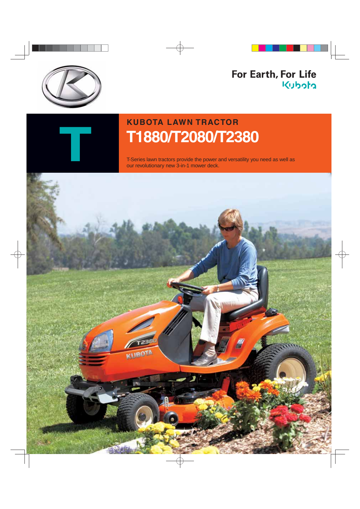

### For Earth, For Life Kubota



## **KUBOTA LAWN TRACTOR T1880/T2080/T2 380**

T-Series lawn tractors provide the power and versatility you need as well as our revolutionary new 3-in-1 mower deck.

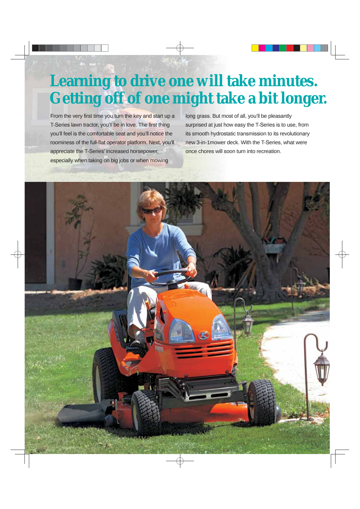# **Learning to drive one will take minutes. Getting off of one might take a bit longer.**

From the very first time you turn the key and start up a T-Series lawn tractor, you'll be in love. The first thing you'll feel is the comfortable seat and you'll notice the roominess of the full-flat operator platform. Next, you'll appreciate the T-Series' increased horsepower, especially when taking on big jobs or when mowing

long grass. But most of all, you'll be pleasantly surprised at just how easy the T-Series is to use, from its smooth hydrostatic transmission to its revolutionary new 3-in-1mower deck. With the T-Series, what were once chores will soon turn into recreation.

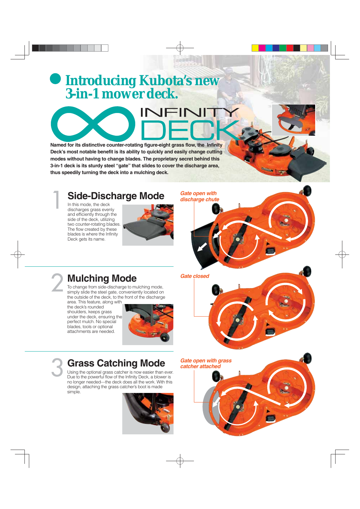## **Introducing Kubota's new 3-in-1 mower deck.**

# INFIN

**Named for its distinctive counter-rotating figure-eight grass flow, the Infinity Deck's most notable benefit is its ability to quickly and easily change cutting modes without having to change blades. The proprietary secret behind this 3-in-1 deck is its sturdy steel "gate" that slides to cover the discharge area, thus speedily turning the deck into a mulching deck.**

### **Side-Discharge Mode**

In this mode, the deck discharges grass evenly and efficiently through the side of the deck, utilizing two counter-rotating blades. The flow created by these blades is where the Infinity Deck gets its name.

1

2



*Gate open with discharge chute*

### **Mulching Mode**

To change from side-discharge to mulching mode, simply slide the steel gate, conveniently located on the outside of the deck, to the front of the discharge

area. This feature, along with the deck's rounded shoulders, keeps grass under the deck, ensuring the perfect mulch. No special blades, tools or optional attachments are needed.



### 3 **Grass Catching Mode**

Using the optional grass catcher is now easier than ever. Due to the powerful flow of the Infinity Deck, a blower is no longer needed—the deck does all the work. With this design, attaching the grass catcher's boot is made simple.



*Gate closed* 

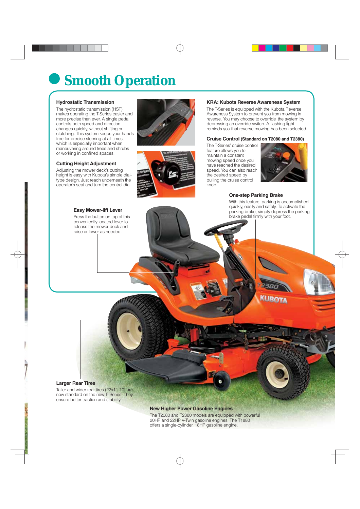# **Smooth Operation**

#### **Hydrostatic Transmission**

The hydrostatic transmission (HST) makes operating the T-Series easier and more precise than ever. A single pedal controls both speed and direction changes quickly, without shifting or clutching. This system keeps your hands free for precise steering at all times, which is especially important when maneuvering around trees and shrubs or working in confined spaces.

#### **Cutting Height Adjustment**

Adjusting the mower deck's cutting height is easy with Kubota's simple dialtype design. Just reach underneath the operator's seat and turn the control dial.





#### **KRA: Kubota Reverse Awareness System**

The T-Series is equipped with the Kubota Reverse Awareness System to prevent you from mowing in reverse. You may choose to override the system by depressing an override switch. A flashing light reminds you that reverse mowing has been selected.

#### **Cruise Control (Standard on T2080 and T2380)**

The T-Series' cruise control feature allows you to maintain a constant mowing speed once you have reached the desired speed. You can also reach the desired speed by pulling the cruise control knob.



#### **One-step Parking Brake**

With this feature, parking is accomplished quickly, easily and safely. To activate the parking brake, simply depress the parking brake pedal firmly with your foot.

#### **Easy Mower-lift Lever**

Press the button on top of this conveniently located lever to release the mower deck and raise or lower as needed.



#### **Larger Rear Tires**

Taller and wider rear tires (22x11-10) are now standard on the new T- Series. They ensure better traction and stability.

#### **New Higher Power Gasoline Engines**

The T2080 and T2380 models are equipped with powerful 20HP and 22HP V-Twin gasoline engines. The T1880 offers a single-cylinder, 18HP gasoline engine.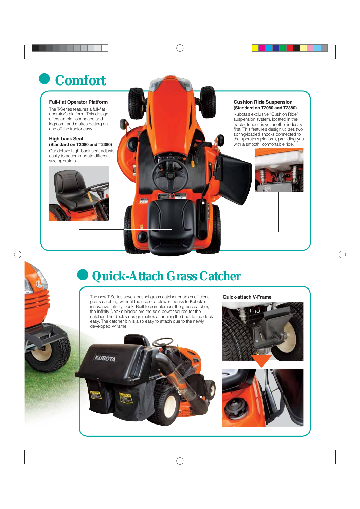# **Comfort**

#### **Full-flat Operator Platform**

The T-Series features a full-flat operator's platform. This design offers ample floor space and legroom, and makes getting on and off the tractor easy.

#### **High-back Seat (Standard on T2080 and T2380)**

Our deluxe high-back seat adjusts easily to accommodate different size operators.



#### **Cushion Ride Suspension (Standard on T2080 and T2380)**

Kubota's exclusive "Cushion Ride" suspension system, located in the tractor fender, is yet another industry first. This feature's design utilizes two spring-loaded shocks connected to the operator's platform, providing you with a smooth, comfortable ride.

# **Quick-Attach Grass Catcher**

**The State** 

The new T-Series seven-bushel grass catcher enables efficient grass catching without the use of a blower thanks to Kubota's innovative Infinity Deck. Built to complement the grass catcher, the Infinity Deck's blades are the sole power source for the catcher. The deck's design makes attaching the boot to the deck easy. The catcher bin is also easy to attach due to the newly developed V-frame.

KUBOTA

**Quick-attach V-Frame**